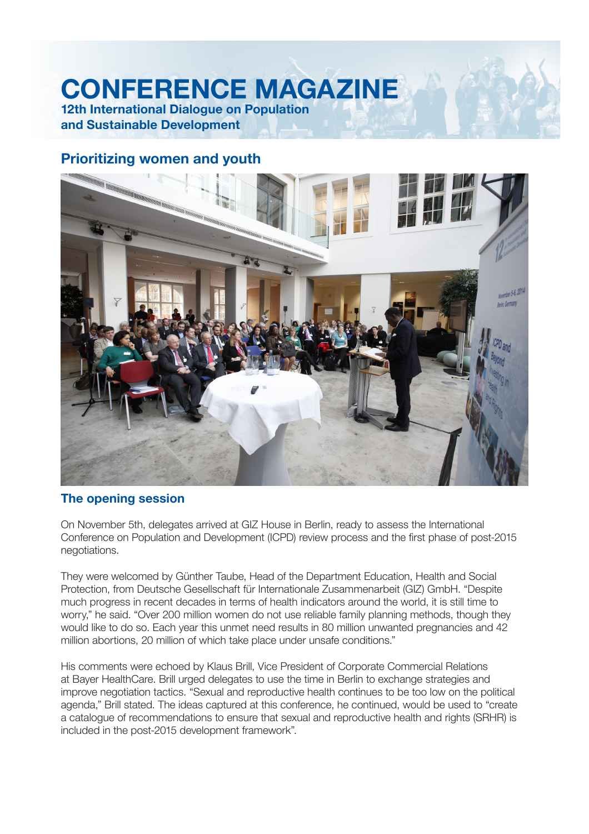# **CONFERENCE MAGAZINE**

**12th International Dialogue on Population and Sustainable Development**

## **Prioritizing women and youth**



### **The opening session**

On November 5th, delegates arrived at GIZ House in Berlin, ready to assess the International Conference on Population and Development (ICPD) review process and the first phase of post-2015 negotiations.

They were welcomed by Günther Taube, Head of the Department Education, Health and Social Protection, from Deutsche Gesellschaft für Internationale Zusammenarbeit (GIZ) GmbH. "Despite much progress in recent decades in terms of health indicators around the world, it is still time to worry," he said. "Over 200 million women do not use reliable family planning methods, though they would like to do so. Each year this unmet need results in 80 million unwanted pregnancies and 42 million abortions, 20 million of which take place under unsafe conditions."

His comments were echoed by Klaus Brill, Vice President of Corporate Commercial Relations at Bayer HealthCare. Brill urged delegates to use the time in Berlin to exchange strategies and improve negotiation tactics. "Sexual and reproductive health continues to be too low on the political agenda," Brill stated. The ideas captured at this conference, he continued, would be used to "create a catalogue of recommendations to ensure that sexual and reproductive health and rights (SRHR) is included in the post-2015 development framework".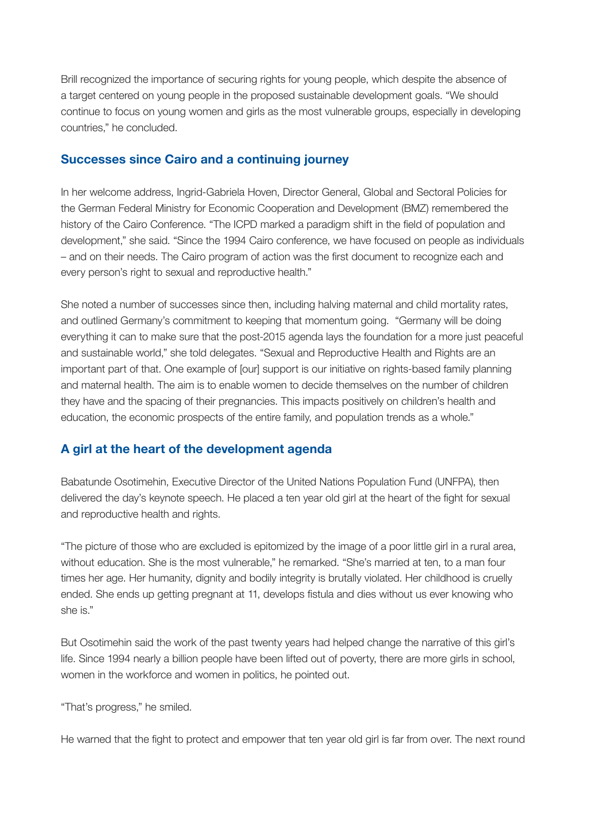Brill recognized the importance of securing rights for young people, which despite the absence of a target centered on young people in the proposed sustainable development goals. "We should continue to focus on young women and girls as the most vulnerable groups, especially in developing countries," he concluded.

#### **Successes since Cairo and a continuing journey**

In her welcome address, Ingrid-Gabriela Hoven, Director General, Global and Sectoral Policies for the German Federal Ministry for Economic Cooperation and Development (BMZ) remembered the history of the Cairo Conference. "The ICPD marked a paradigm shift in the field of population and development," she said. "Since the 1994 Cairo conference, we have focused on people as individuals - and on their needs. The Cairo program of action was the first document to recognize each and every person's right to sexual and reproductive health."

She noted a number of successes since then, including halving maternal and child mortality rates, and outlined Germany's commitment to keeping that momentum going. "Germany will be doing everything it can to make sure that the post-2015 agenda lays the foundation for a more just peaceful and sustainable world," she told delegates. "Sexual and Reproductive Health and Rights are an important part of that. One example of [our] support is our initiative on rights-based family planning and maternal health. The aim is to enable women to decide themselves on the number of children they have and the spacing of their pregnancies. This impacts positively on children's health and education, the economic prospects of the entire family, and population trends as a whole."

### **A girl at the heart of the development agenda**

Babatunde Osotimehin, Executive Director of the United Nations Population Fund (UNFPA), then delivered the day's keynote speech. He placed a ten year old girl at the heart of the fight for sexual and reproductive health and rights.

"The picture of those who are excluded is epitomized by the image of a poor little girl in a rural area, without education. She is the most vulnerable," he remarked. "She's married at ten, to a man four times her age. Her humanity, dignity and bodily integrity is brutally violated. Her childhood is cruelly ended. She ends up getting pregnant at 11, develops fistula and dies without us ever knowing who she is."

But Osotimehin said the work of the past twenty years had helped change the narrative of this girl's life. Since 1994 nearly a billion people have been lifted out of poverty, there are more girls in school, women in the workforce and women in politics, he pointed out.

"That's progress," he smiled.

He warned that the fight to protect and empower that ten year old girl is far from over. The next round